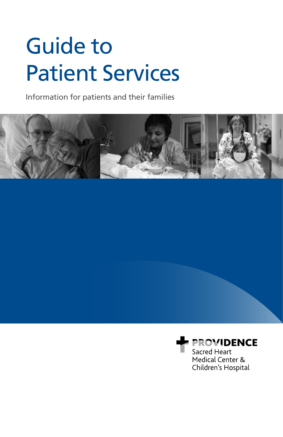# Guide to Patient Services

Information for patients and their families



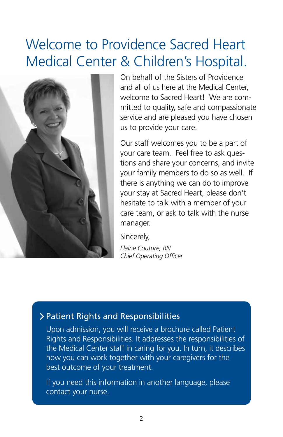#### Welcome to Providence Sacred Heart Medical Center & Children's Hospital.



On behalf of the Sisters of Providence and all of us here at the Medical Center, welcome to Sacred Heart! We are committed to quality, safe and compassionate service and are pleased you have chosen us to provide your care.

Our staff welcomes you to be a part of your care team. Feel free to ask questions and share your concerns, and invite your family members to do so as well. If there is anything we can do to improve your stay at Sacred Heart, please don't hesitate to talk with a member of your care team, or ask to talk with the nurse manager.

Sincerely,

*Elaine Couture, RN Chief Operating Officer*

#### Patient Rights and Responsibilities

Upon admission, you will receive a brochure called Patient Rights and Responsibilities. It addresses the responsibilities of the Medical Center staff in caring for you. In turn, it describes how you can work together with your caregivers for the best outcome of your treatment.

If you need this information in another language, please contact your nurse.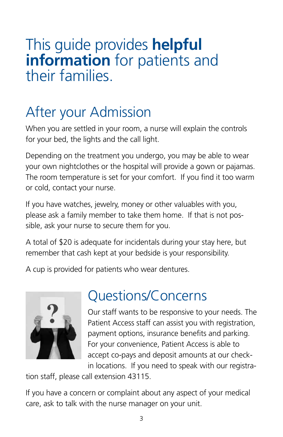#### This guide provides **helpful information** for patients and their families.

# After your Admission

When you are settled in your room, a nurse will explain the controls for your bed, the lights and the call light.

Depending on the treatment you undergo, you may be able to wear your own nightclothes or the hospital will provide a gown or pajamas. The room temperature is set for your comfort. If you find it too warm or cold, contact your nurse.

If you have watches, jewelry, money or other valuables with you, please ask a family member to take them home. If that is not possible, ask your nurse to secure them for you.

A total of \$20 is adequate for incidentals during your stay here, but remember that cash kept at your bedside is your responsibility.

A cup is provided for patients who wear dentures.



#### Questions/Concerns

Our staff wants to be responsive to your needs. The Patient Access staff can assist you with registration, payment options, insurance benefits and parking. For your convenience, Patient Access is able to accept co-pays and deposit amounts at our checkin locations. If you need to speak with our registra-

tion staff, please call extension 43115.

If you have a concern or complaint about any aspect of your medical care, ask to talk with the nurse manager on your unit.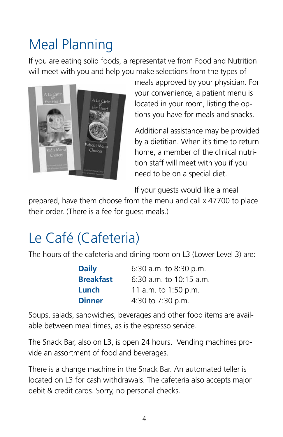# Meal Planning

If you are eating solid foods, a representative from Food and Nutrition will meet with you and help you make selections from the types of



meals approved by your physician. For your convenience, a patient menu is located in your room, listing the options you have for meals and snacks.

Additional assistance may be provided by a dietitian. When it's time to return home, a member of the clinical nutrition staff will meet with you if you need to be on a special diet.

If your guests would like a meal

prepared, have them choose from the menu and call x 47700 to place their order. (There is a fee for guest meals.)

## Le Café (Cafeteria)

The hours of the cafeteria and dining room on L3 (Lower Level 3) are:

| <b>Daily</b>     | 6:30 a.m. to 8:30 p.m.    |
|------------------|---------------------------|
| <b>Breakfast</b> | $6:30$ a.m. to 10:15 a.m. |
| Lunch            | 11 a.m. to 1:50 p.m.      |
| <b>Dinner</b>    | 4:30 to 7:30 p.m.         |

Soups, salads, sandwiches, beverages and other food items are available between meal times, as is the espresso service.

The Snack Bar, also on L3, is open 24 hours. Vending machines provide an assortment of food and beverages.

There is a change machine in the Snack Bar. An automated teller is located on L3 for cash withdrawals. The cafeteria also accepts major debit & credit cards. Sorry, no personal checks.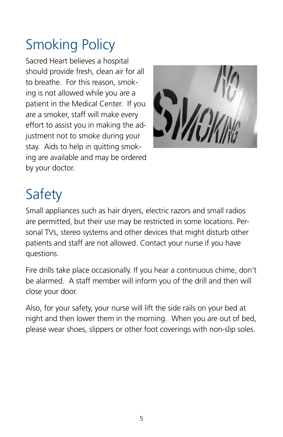# Smoking Policy

Sacred Heart believes a hospital should provide fresh, clean air for all to breathe. For this reason, smoking is not allowed while you are a patient in the Medical Center. If you are a smoker, staff will make every effort to assist you in making the adjustment not to smoke during your stay. Aids to help in quitting smoking are available and may be ordered by your doctor.



# Safety

Small appliances such as hair dryers, electric razors and small radios are permitted, but their use may be restricted in some locations. Personal TVs, stereo systems and other devices that might disturb other patients and staff are not allowed. Contact your nurse if you have questions.

Fire drills take place occasionally. If you hear a continuous chime, don't be alarmed. A staff member will inform you of the drill and then will close your door.

Also, for your safety, your nurse will lift the side rails on your bed at night and then lower them in the morning. When you are out of bed, please wear shoes, slippers or other foot coverings with non-slip soles.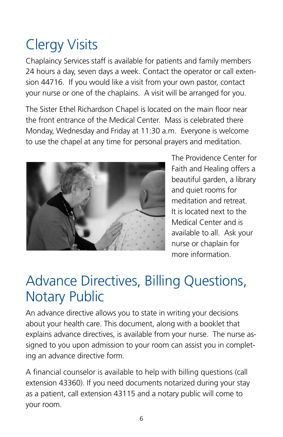# Clergy Visits

Chaplaincy Services staff is available for patients and family members 24 hours a day, seven days a week. Contact the operator or call extension 44716. If you would like a visit from your own pastor, contact your nurse or one of the chaplains. A visit will be arranged for you.

The Sister Ethel Richardson Chapel is located on the main floor near the front entrance of the Medical Center. Mass is celebrated there Monday, Wednesday and Friday at 11:30 a.m. Everyone is welcome to use the chapel at any time for personal prayers and meditation.



The Providence Center for Faith and Healing offers a beautiful garden, a library and quiet rooms for meditation and retreat. It is located next to the Medical Center and is available to all. Ask your nurse or chaplain for more information.

#### Advance Directives, Billing Questions, Notary Public

An advance directive allows you to state in writing your decisions about your health care. This document, along with a booklet that explains advance directives, is available from your nurse. The nurse assigned to you upon admission to your room can assist you in completing an advance directive form.

A financial counselor is available to help with billing questions (call extension 43360). If you need documents notarized during your stay as a patient, call extension 43115 and a notary public will come to your room.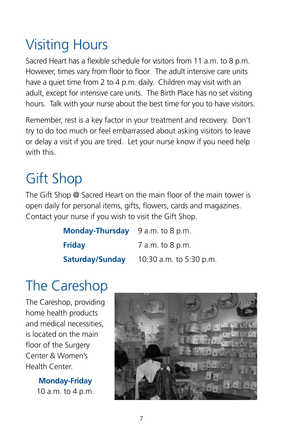# Visiting Hours

Sacred Heart has a flexible schedule for visitors from 11 a.m. to 8 p.m. However, times vary from floor to floor. The adult intensive care units have a quiet time from 2 to 4 p.m. daily. Children may visit with an adult, except for intensive care units. The Birth Place has no set visiting hours. Talk with your nurse about the best time for you to have visitors.

Remember, rest is a key factor in your treatment and recovery. Don't try to do too much or feel embarrassed about asking visitors to leave or delay a visit if you are tired. Let your nurse know if you need help with this.

# Gift Shop

The Gift Shop @ Sacred Heart on the main floor of the main tower is open daily for personal items, gifts, flowers, cards and magazines. Contact your nurse if you wish to visit the Gift Shop.

| Monday-Thursday 9 a.m. to 8 p.m. |                         |
|----------------------------------|-------------------------|
| <b>Friday</b>                    | 7 a.m. to 8 p.m.        |
| Saturday/Sunday                  | 10:30 a.m. to 5:30 p.m. |

#### The Careshop

The Careshop, providing home health products and medical necessities, is located on the main floor of the Surgery Center & Women's Health Center.

> **Monday-Friday**  10 a.m. to 4 p.m.

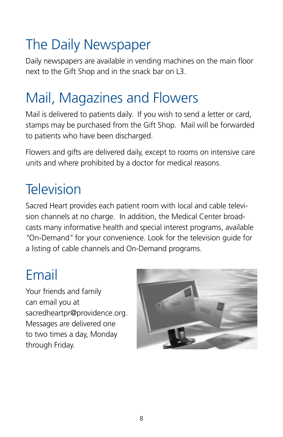# The Daily Newspaper

Daily newspapers are available in vending machines on the main floor next to the Gift Shop and in the snack bar on L3.

## Mail, Magazines and Flowers

Mail is delivered to patients daily. If you wish to send a letter or card, stamps may be purchased from the Gift Shop. Mail will be forwarded to patients who have been discharged.

Flowers and gifts are delivered daily, except to rooms on intensive care units and where prohibited by a doctor for medical reasons.

## **Television**

Sacred Heart provides each patient room with local and cable television channels at no charge. In addition, the Medical Center broadcasts many informative health and special interest programs, available *"*On-Demand*"* for your convenience. Look for the television guide for a listing of cable channels and On-Demand programs.

#### Email

Your friends and family can email you at sacredheartpr@providence.org. Messages are delivered one to two times a day, Monday through Friday.

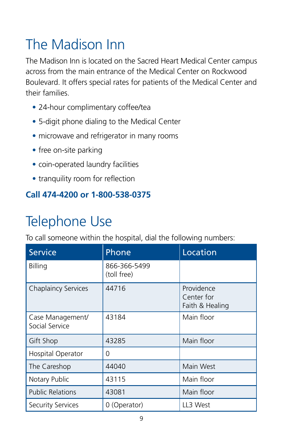# The Madison Inn

The Madison Inn is located on the Sacred Heart Medical Center campus across from the main entrance of the Medical Center on Rockwood Boulevard. It offers special rates for patients of the Medical Center and their families.

- 24-hour complimentary coffee/tea
- 5-digit phone dialing to the Medical Center
- microwave and refrigerator in many rooms
- free on-site parking
- coin-operated laundry facilities
- tranquility room for reflection

#### **Call 474-4200 or 1-800-538-0375**

# Telephone Use

To call someone within the hospital, dial the following numbers:

| <b>Service</b>                     | Phone                       | Location                                    |
|------------------------------------|-----------------------------|---------------------------------------------|
| Billing                            | 866-366-5499<br>(toll free) |                                             |
| <b>Chaplaincy Services</b>         | 44716                       | Providence<br>Center for<br>Faith & Healing |
| Case Management/<br>Social Service | 43184                       | Main floor                                  |
| Gift Shop                          | 43285                       | Main floor                                  |
| Hospital Operator                  | 0                           |                                             |
| The Careshop                       | 44040                       | Main West                                   |
| Notary Public                      | 43115                       | Main floor                                  |
| <b>Public Relations</b>            | 43081                       | Main floor                                  |
| <b>Security Services</b>           | 0 (Operator)                | LL3 West                                    |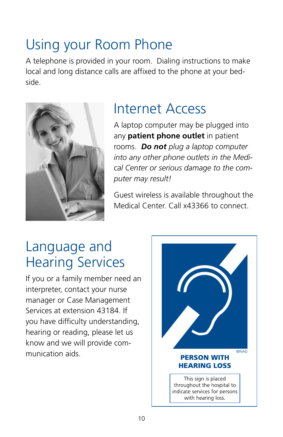#### Using your Room Phone

A telephone is provided in your room. Dialing instructions to make local and long distance calls are affixed to the phone at your bedside.



#### Internet Access

A laptop computer may be plugged into any **patient phone outlet** in patient rooms. *Do not plug a laptop computer into any other phone outlets in the Medical Center or serious damage to the computer may result!*

Guest wireless is available throughout the Medical Center. Call x43366 to connect.

#### Language and Hearing Services

If you or a family member need an interpreter, contact your nurse manager or Case Management Services at extension 43184. If you have difficulty understanding, hearing or reading, please let us know and we will provide communication aids.

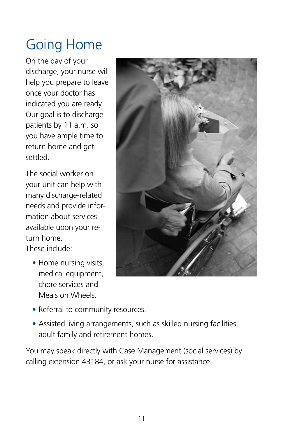# Going Home

On the day of your discharge, your nurse will help you prepare to leave once your doctor has indicated you are ready. Our goal is to discharge patients by 11 a.m. so you have ample time to return home and get settled.

The social worker on your unit can help with many discharge-related needs and provide information about services available upon your return home.

These include:

• Home nursing visits, medical equipment, chore services and Meals on Wheels.



- Referral to community resources.
- Assisted living arrangements, such as skilled nursing facilities, adult family and retirement homes.

You may speak directly with Case Management (social services) by calling extension 43184, or ask your nurse for assistance.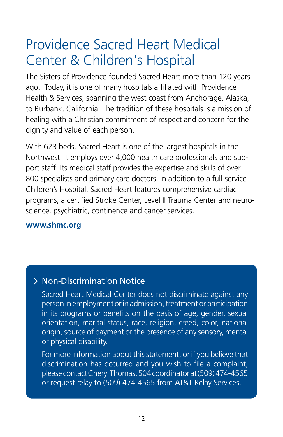#### Providence Sacred Heart Medical Center & Children's Hospital

The Sisters of Providence founded Sacred Heart more than 120 years ago. Today, it is one of many hospitals affiliated with Providence Health & Services, spanning the west coast from Anchorage, Alaska, to Burbank, California. The tradition of these hospitals is a mission of healing with a Christian commitment of respect and concern for the dignity and value of each person.

With 623 beds, Sacred Heart is one of the largest hospitals in the Northwest. It employs over 4,000 health care professionals and support staff. Its medical staff provides the expertise and skills of over 800 specialists and primary care doctors. In addition to a full-service Children's Hospital, Sacred Heart features comprehensive cardiac programs, a certified Stroke Center, Level II Trauma Center and neuroscience, psychiatric, continence and cancer services.

#### **www.shmc.org**

#### Non-Discrimination Notice

Sacred Heart Medical Center does not discriminate against any person in employment or in admission, treatment or participation in its programs or benefits on the basis of age, gender, sexual orientation, marital status, race, religion, creed, color, national origin, source of payment or the presence of any sensory, mental or physical disability.

For more information about this statement, or if you believe that discrimination has occurred and you wish to file a complaint, please contact Cheryl Thomas, 504 coordinator at (509) 474-4565 or request relay to (509) 474-4565 from AT&T Relay Services.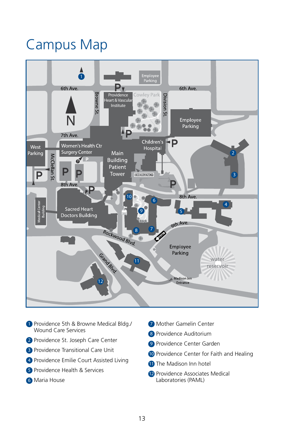#### Campus Map



- 1 Providence 5th & Browne Medical Bldg./ Wound Care Services
- 2 Providence St. Joseph Care Center
- **3** Providence Transitional Care Unit
- 4) Providence Emilie Court Assisted Living
- 5 Providence Health & Services
- Maria House 6
- 7 Mother Gamelin Center
- 8 Providence Auditorium
- 9 Providence Center Garden
- 10 Providence Center for Faith and Healing
- **11** The Madison Inn hotel
- 12 Providence Associates Medical Laboratories (PAML)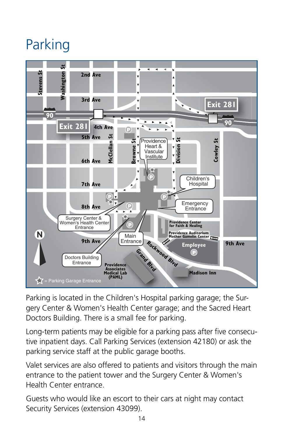# Parking



Parking is located in the Children's Hospital parking garage; the Surgery Center & Women's Health Center garage; and the Sacred Heart Doctors Building. There is a small fee for parking.

Long-term patients may be eligible for a parking pass after five consecutive inpatient days. Call Parking Services (extension 42180) or ask the parking service staff at the public garage booths.

Valet services are also offered to patients and visitors through the main entrance to the patient tower and the Surgery Center & Women's Health Center entrance.

Guests who would like an escort to their cars at night may contact Security Services (extension 43099).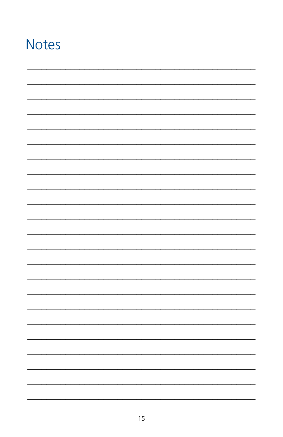#### **Notes**